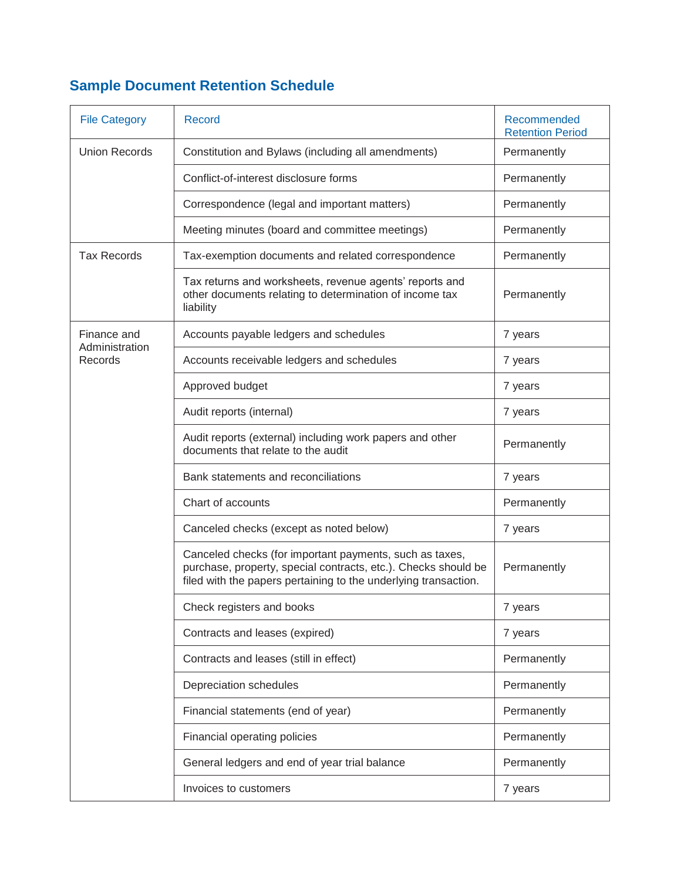## **Sample Document Retention Schedule**

| <b>File Category</b>                     | <b>Record</b>                                                                                                                                                                                | Recommended<br><b>Retention Period</b> |
|------------------------------------------|----------------------------------------------------------------------------------------------------------------------------------------------------------------------------------------------|----------------------------------------|
| <b>Union Records</b>                     | Constitution and Bylaws (including all amendments)                                                                                                                                           | Permanently                            |
|                                          | Conflict-of-interest disclosure forms                                                                                                                                                        | Permanently                            |
|                                          | Correspondence (legal and important matters)                                                                                                                                                 | Permanently                            |
|                                          | Meeting minutes (board and committee meetings)                                                                                                                                               | Permanently                            |
| <b>Tax Records</b>                       | Tax-exemption documents and related correspondence                                                                                                                                           | Permanently                            |
|                                          | Tax returns and worksheets, revenue agents' reports and<br>other documents relating to determination of income tax<br>liability                                                              | Permanently                            |
| Finance and<br>Administration<br>Records | Accounts payable ledgers and schedules                                                                                                                                                       | 7 years                                |
|                                          | Accounts receivable ledgers and schedules                                                                                                                                                    | 7 years                                |
|                                          | Approved budget                                                                                                                                                                              | 7 years                                |
|                                          | Audit reports (internal)                                                                                                                                                                     | 7 years                                |
|                                          | Audit reports (external) including work papers and other<br>documents that relate to the audit                                                                                               | Permanently                            |
|                                          | Bank statements and reconciliations                                                                                                                                                          | 7 years                                |
|                                          | Chart of accounts                                                                                                                                                                            | Permanently                            |
|                                          | Canceled checks (except as noted below)                                                                                                                                                      | 7 years                                |
|                                          | Canceled checks (for important payments, such as taxes,<br>purchase, property, special contracts, etc.). Checks should be<br>filed with the papers pertaining to the underlying transaction. | Permanently                            |
|                                          | Check registers and books                                                                                                                                                                    | 7 years                                |
|                                          | Contracts and leases (expired)                                                                                                                                                               | 7 years                                |
|                                          | Contracts and leases (still in effect)                                                                                                                                                       | Permanently                            |
|                                          | Depreciation schedules                                                                                                                                                                       | Permanently                            |
|                                          | Financial statements (end of year)                                                                                                                                                           | Permanently                            |
|                                          | Financial operating policies                                                                                                                                                                 | Permanently                            |
|                                          | General ledgers and end of year trial balance                                                                                                                                                | Permanently                            |
|                                          | Invoices to customers                                                                                                                                                                        | 7 years                                |